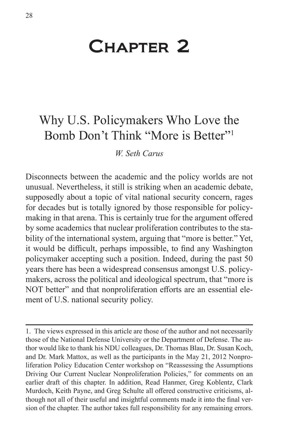# Chapter 2

# Why U.S. Policymakers Who Love the Bomb Don't Think "More is Better"<sup>1</sup>

#### *W. Seth Carus*

Disconnects between the academic and the policy worlds are not unusual. Nevertheless, it still is striking when an academic debate, supposedly about a topic of vital national security concern, rages for decades but is totally ignored by those responsible for policymaking in that arena. This is certainly true for the argument offered by some academics that nuclear proliferation contributes to the stability of the international system, arguing that "more is better." Yet, it would be difficult, perhaps impossible, to find any Washington policymaker accepting such a position. Indeed, during the past 50 years there has been a widespread consensus amongst U.S. policymakers, across the political and ideological spectrum, that "more is NOT better" and that nonproliferation efforts are an essential element of U.S. national security policy.

<sup>1.</sup> The views expressed in this article are those of the author and not necessarily those of the National Defense University or the Department of Defense. The author would like to thank his NDU colleagues, Dr. Thomas Blau, Dr. Susan Koch, and Dr. Mark Mattox, as well as the participants in the May 21, 2012 Nonproliferation Policy Education Center workshop on "Reassessing the Assumptions Driving Our Current Nuclear Nonproliferation Policies," for comments on an earlier draft of this chapter. In addition, Read Hanmer, Greg Koblentz, Clark Murdoch, Keith Payne, and Greg Schulte all offered constructive criticisms, although not all of their useful and insightful comments made it into the final version of the chapter. The author takes full responsibility for any remaining errors.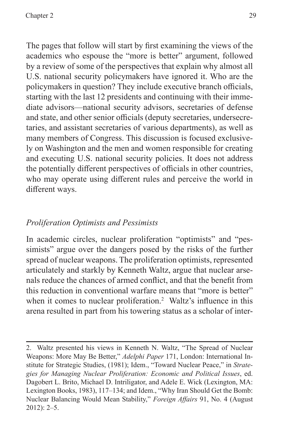The pages that follow will start by first examining the views of the academics who espouse the "more is better" argument, followed by a review of some of the perspectives that explain why almost all U.S. national security policymakers have ignored it. Who are the policymakers in question? They include executive branch officials, starting with the last 12 presidents and continuing with their immediate advisors—national security advisors, secretaries of defense and state, and other senior officials (deputy secretaries, undersecretaries, and assistant secretaries of various departments), as well as many members of Congress. This discussion is focused exclusively on Washington and the men and women responsible for creating and executing U.S. national security policies. It does not address the potentially different perspectives of officials in other countries, who may operate using different rules and perceive the world in different ways.

#### *Proliferation Optimists and Pessimists*

In academic circles, nuclear proliferation "optimists" and "pessimists" argue over the dangers posed by the risks of the further spread of nuclear weapons. The proliferation optimists, represented articulately and starkly by Kenneth Waltz, argue that nuclear arsenals reduce the chances of armed conflict, and that the benefit from this reduction in conventional warfare means that "more is better" when it comes to nuclear proliferation.<sup>2</sup> Waltz's influence in this arena resulted in part from his towering status as a scholar of inter-

<sup>2.</sup> Waltz presented his views in Kenneth N. Waltz, "The Spread of Nuclear Weapons: More May Be Better," *Adelphi Paper* 171, London: International Institute for Strategic Studies, (1981); Idem., "Toward Nuclear Peace," in *Strategies for Managing Nuclear Proliferation: Economic and Political Issues*, ed. Dagobert L. Brito, Michael D. Intriligator, and Adele E. Wick (Lexington, MA: Lexington Books, 1983), 117–134; and Idem., "Why Iran Should Get the Bomb: Nuclear Balancing Would Mean Stability," *Foreign Affairs* 91, No. 4 (August 2012): 2–5.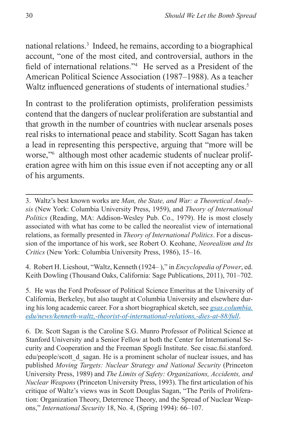national relations.3 Indeed, he remains, according to a biographical account, "one of the most cited, and controversial, authors in the field of international relations."<sup>4</sup> He served as a President of the American Political Science Association (1987–1988). As a teacher Waltz influenced generations of students of international studies.<sup>5</sup>

In contrast to the proliferation optimists, proliferation pessimists contend that the dangers of nuclear proliferation are substantial and that growth in the number of countries with nuclear arsenals poses real risks to international peace and stability. Scott Sagan has taken a lead in representing this perspective, arguing that "more will be worse,"6 although most other academic students of nuclear proliferation agree with him on this issue even if not accepting any or all of his arguments.

4. Robert H. Lieshout, "Waltz, Kenneth (1924– )," in *Encyclopedia of Power*, ed. Keith Dowling (Thousand Oaks, California: Sage Publications, 2011), 701–702.

5. He was the Ford Professor of Political Science Emeritus at the University of California, Berkeley, but also taught at Columbia University and elsewhere during his long academic career. For a short biographical sketch, see *[gsas.columbia.](gsas.columbia.edu/news/kenneth-waltz,-theorist-of-international-relations,-dies-at-88/full) [edu/news/kenneth-waltz,-theorist-of-international-relations,-dies-at-88/full](gsas.columbia.edu/news/kenneth-waltz,-theorist-of-international-relations,-dies-at-88/full)*.

6. Dr. Scott Sagan is the Caroline S.G. Munro Professor of Political Science at Stanford University and a Senior Fellow at both the Center for International Security and Cooperation and the Freeman Spogli Institute. See cisac.fsi.stanford. edu/people/scott d sagan. He is a prominent scholar of nuclear issues, and has published *Moving Targets: Nuclear Strategy and National Security* (Princeton University Press, 1989) and *The Limits of Safety: Organizations, Accidents, and Nuclear Weapons* (Princeton University Press, 1993). The first articulation of his critique of Waltz's views was in Scott Douglas Sagan, "The Perils of Proliferation: Organization Theory, Deterrence Theory, and the Spread of Nuclear Weapons," *International Security* 18, No. 4, (Spring 1994): 66–107.

<sup>3.</sup> Waltz's best known works are *Man, the State, and War: a Theoretical Analysis* (New York: Columbia University Press, 1959), and *Theory of International Politics* (Reading, MA: Addison-Wesley Pub. Co., 1979). He is most closely associated with what has come to be called the neorealist view of international relations, as formally presented in *Theory of International Politics*. For a discussion of the importance of his work, see Robert O. Keohane, *Neorealism and Its Critics* (New York: Columbia University Press, 1986), 15–16.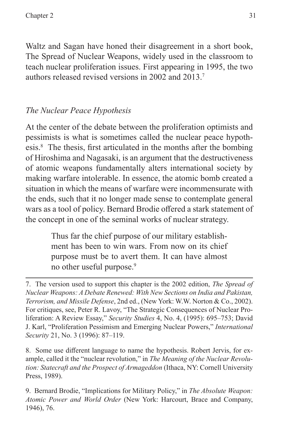Waltz and Sagan have honed their disagreement in a short book, The Spread of Nuclear Weapons, widely used in the classroom to teach nuclear proliferation issues. First appearing in 1995, the two authors released revised versions in 2002 and 2013.7

## *The Nuclear Peace Hypothesis*

At the center of the debate between the proliferation optimists and pessimists is what is sometimes called the nuclear peace hypothesis.8 The thesis, first articulated in the months after the bombing of Hiroshima and Nagasaki, is an argument that the destructiveness of atomic weapons fundamentally alters international society by making warfare intolerable. In essence, the atomic bomb created a situation in which the means of warfare were incommensurate with the ends, such that it no longer made sense to contemplate general wars as a tool of policy. Bernard Brodie offered a stark statement of the concept in one of the seminal works of nuclear strategy.

> Thus far the chief purpose of our military establishment has been to win wars. From now on its chief purpose must be to avert them. It can have almost no other useful purpose.<sup>9</sup>

8. Some use different language to name the hypothesis. Robert Jervis, for example, called it the "nuclear revolution," in *The Meaning of the Nuclear Revolution: Statecraft and the Prospect of Armageddon* (Ithaca, NY: Cornell University Press, 1989).

9. Bernard Brodie, "Implications for Military Policy," in *The Absolute Weapon: Atomic Power and World Order* (New York: Harcourt, Brace and Company, 1946), 76.

<sup>7.</sup> The version used to support this chapter is the 2002 edition, *The Spread of Nuclear Weapons: A Debate Renewed: With New Sections on India and Pakistan, Terrorism, and Missile Defense*, 2nd ed., (New York: W.W. Norton & Co., 2002). For critiques, see, Peter R. Lavoy, "The Strategic Consequences of Nuclear Proliferation: A Review Essay," *Security Studies* 4, No. 4, (1995): 695–753; David J. Karl, "Proliferation Pessimism and Emerging Nuclear Powers," *International Security* 21, No. 3 (1996): 87–119.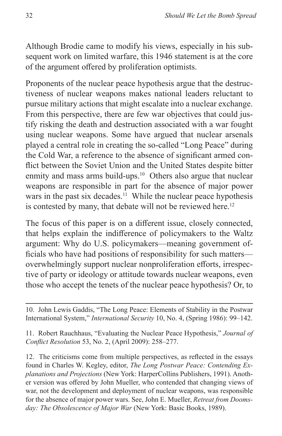Although Brodie came to modify his views, especially in his subsequent work on limited warfare, this 1946 statement is at the core of the argument offered by proliferation optimists.

Proponents of the nuclear peace hypothesis argue that the destructiveness of nuclear weapons makes national leaders reluctant to pursue military actions that might escalate into a nuclear exchange. From this perspective, there are few war objectives that could justify risking the death and destruction associated with a war fought using nuclear weapons. Some have argued that nuclear arsenals played a central role in creating the so-called "Long Peace" during the Cold War, a reference to the absence of significant armed conflict between the Soviet Union and the United States despite bitter enmity and mass arms build-ups.<sup>10</sup> Others also argue that nuclear weapons are responsible in part for the absence of major power wars in the past six decades.<sup>11</sup> While the nuclear peace hypothesis is contested by many, that debate will not be reviewed here.<sup>12</sup>

The focus of this paper is on a different issue, closely connected, that helps explain the indifference of policymakers to the Waltz argument: Why do U.S. policymakers—meaning government officials who have had positions of responsibility for such matters overwhelmingly support nuclear nonproliferation efforts, irrespective of party or ideology or attitude towards nuclear weapons, even those who accept the tenets of the nuclear peace hypothesis? Or, to

10. John Lewis Gaddis, "The Long Peace: Elements of Stability in the Postwar International System," *International Security* 10, No. 4, (Spring 1986): 99–142.

11. Robert Rauchhaus, "Evaluating the Nuclear Peace Hypothesis," *Journal of Conflict Resolution* 53, No. 2, (April 2009): 258–277.

12. The criticisms come from multiple perspectives, as reflected in the essays found in Charles W. Kegley, editor, *The Long Postwar Peace: Contending Explanations and Projections* (New York: HarperCollins Publishers, 1991). Another version was offered by John Mueller, who contended that changing views of war, not the development and deployment of nuclear weapons, was responsible for the absence of major power wars. See, John E. Mueller, *Retreat from Doomsday: The Obsolescence of Major War* (New York: Basic Books, 1989).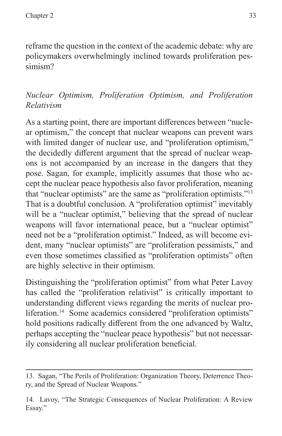reframe the question in the context of the academic debate: why are policymakers overwhelmingly inclined towards proliferation pessimism?

## *Nuclear Optimism, Proliferation Optimism, and Proliferation Relativism*

As a starting point, there are important differences between "nuclear optimism," the concept that nuclear weapons can prevent wars with limited danger of nuclear use, and "proliferation optimism," the decidedly different argument that the spread of nuclear weapons is not accompanied by an increase in the dangers that they pose. Sagan, for example, implicitly assumes that those who accept the nuclear peace hypothesis also favor proliferation, meaning that "nuclear optimists" are the same as "proliferation optimists."13 That is a doubtful conclusion. A "proliferation optimist" inevitably will be a "nuclear optimist," believing that the spread of nuclear weapons will favor international peace, but a "nuclear optimist" need not be a "proliferation optimist." Indeed, as will become evident, many "nuclear optimists" are "proliferation pessimists," and even those sometimes classified as "proliferation optimists" often are highly selective in their optimism.

Distinguishing the "proliferation optimist" from what Peter Lavoy has called the "proliferation relativist" is critically important to understanding different views regarding the merits of nuclear proliferation.<sup>14</sup> Some academics considered "proliferation optimists" hold positions radically different from the one advanced by Waltz, perhaps accepting the "nuclear peace hypothesis" but not necessarily considering all nuclear proliferation beneficial.

<sup>13.</sup> Sagan, "The Perils of Proliferation: Organization Theory, Deterrence Theory, and the Spread of Nuclear Weapons."

<sup>14.</sup> Lavoy, "The Strategic Consequences of Nuclear Proliferation: A Review Essay."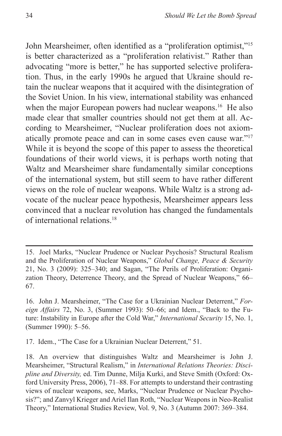John Mearsheimer, often identified as a "proliferation optimist,"<sup>15</sup> is better characterized as a "proliferation relativist." Rather than advocating "more is better," he has supported selective proliferation. Thus, in the early 1990s he argued that Ukraine should retain the nuclear weapons that it acquired with the disintegration of the Soviet Union. In his view, international stability was enhanced when the major European powers had nuclear weapons.<sup>16</sup> He also made clear that smaller countries should not get them at all. According to Mearsheimer, "Nuclear proliferation does not axiomatically promote peace and can in some cases even cause war."17 While it is beyond the scope of this paper to assess the theoretical foundations of their world views, it is perhaps worth noting that Waltz and Mearsheimer share fundamentally similar conceptions of the international system, but still seem to have rather different views on the role of nuclear weapons. While Waltz is a strong advocate of the nuclear peace hypothesis, Mearsheimer appears less convinced that a nuclear revolution has changed the fundamentals of international relations.18

17. Idem., "The Case for a Ukrainian Nuclear Deterrent," 51.

<sup>15.</sup> Joel Marks, "Nuclear Prudence or Nuclear Psychosis? Structural Realism and the Proliferation of Nuclear Weapons," *Global Change, Peace & Security* 21, No. 3 (2009): 325–340; and Sagan, "The Perils of Proliferation: Organization Theory, Deterrence Theory, and the Spread of Nuclear Weapons," 66– 67.

<sup>16.</sup> John J. Mearsheimer, "The Case for a Ukrainian Nuclear Deterrent," *Foreign Affairs* 72, No. 3, (Summer 1993): 50–66; and Idem., "Back to the Future: Instability in Europe after the Cold War," *International Security* 15, No. 1, (Summer 1990): 5–56.

<sup>18.</sup> An overview that distinguishes Waltz and Mearsheimer is John J. Mearsheimer, "Structural Realism," in *International Relations Theories: Discipline and Diversity,* ed. Tim Dunne, Milja Kurki, and Steve Smith (Oxford: Oxford University Press, 2006), 71–88. For attempts to understand their contrasting views of nuclear weapons, see, Marks, "Nuclear Prudence or Nuclear Psychosis?"; and Zanvyl Krieger and Ariel Ilan Roth, "Nuclear Weapons in Neo-Realist Theory," International Studies Review, Vol. 9, No. 3 (Autumn 2007: 369–384.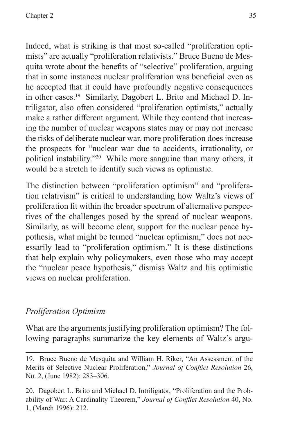Indeed, what is striking is that most so-called "proliferation optimists" are actually "proliferation relativists." Bruce Bueno de Mesquita wrote about the benefits of "selective" proliferation, arguing that in some instances nuclear proliferation was beneficial even as he accepted that it could have profoundly negative consequences in other cases.19 Similarly, Dagobert L. Brito and Michael D. Intriligator, also often considered "proliferation optimists," actually make a rather different argument. While they contend that increasing the number of nuclear weapons states may or may not increase the risks of deliberate nuclear war, more proliferation does increase the prospects for "nuclear war due to accidents, irrationality, or political instability."20 While more sanguine than many others, it would be a stretch to identify such views as optimistic.

The distinction between "proliferation optimism" and "proliferation relativism" is critical to understanding how Waltz's views of proliferation fit within the broader spectrum of alternative perspectives of the challenges posed by the spread of nuclear weapons. Similarly, as will become clear, support for the nuclear peace hypothesis, what might be termed "nuclear optimism," does not necessarily lead to "proliferation optimism." It is these distinctions that help explain why policymakers, even those who may accept the "nuclear peace hypothesis," dismiss Waltz and his optimistic views on nuclear proliferation.

#### *Proliferation Optimism*

What are the arguments justifying proliferation optimism? The following paragraphs summarize the key elements of Waltz's argu-

<sup>19.</sup> Bruce Bueno de Mesquita and William H. Riker, "An Assessment of the Merits of Selective Nuclear Proliferation," *Journal of Conflict Resolution* 26, No. 2, (June 1982): 283–306.

<sup>20.</sup> Dagobert L. Brito and Michael D. Intriligator, "Proliferation and the Probability of War: A Cardinality Theorem," *Journal of Conflict Resolution* 40, No. 1, (March 1996): 212.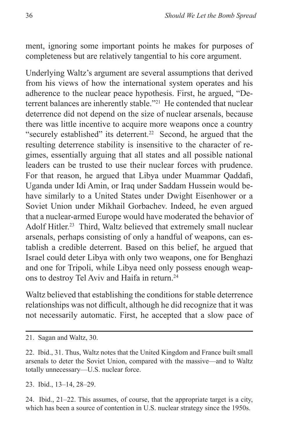ment, ignoring some important points he makes for purposes of completeness but are relatively tangential to his core argument.

Underlying Waltz's argument are several assumptions that derived from his views of how the international system operates and his adherence to the nuclear peace hypothesis. First, he argued, "Deterrent balances are inherently stable."21 He contended that nuclear deterrence did not depend on the size of nuclear arsenals, because there was little incentive to acquire more weapons once a country "securely established" its deterrent.<sup>22</sup> Second, he argued that the resulting deterrence stability is insensitive to the character of regimes, essentially arguing that all states and all possible national leaders can be trusted to use their nuclear forces with prudence. For that reason, he argued that Libya under Muammar Qaddafi, Uganda under Idi Amin, or Iraq under Saddam Hussein would behave similarly to a United States under Dwight Eisenhower or a Soviet Union under Mikhail Gorbachev. Indeed, he even argued that a nuclear-armed Europe would have moderated the behavior of Adolf Hitler.<sup>23</sup> Third, Waltz believed that extremely small nuclear arsenals, perhaps consisting of only a handful of weapons, can establish a credible deterrent. Based on this belief, he argued that Israel could deter Libya with only two weapons, one for Benghazi and one for Tripoli, while Libya need only possess enough weapons to destroy Tel Aviv and Haifa in return.<sup>24</sup>

Waltz believed that establishing the conditions for stable deterrence relationships was not difficult, although he did recognize that it was not necessarily automatic. First, he accepted that a slow pace of

23. Ibid., 13–14, 28–29.

24. Ibid., 21–22. This assumes, of course, that the appropriate target is a city, which has been a source of contention in U.S. nuclear strategy since the 1950s.

<sup>21.</sup> Sagan and Waltz, 30.

<sup>22.</sup> Ibid., 31. Thus, Waltz notes that the United Kingdom and France built small arsenals to deter the Soviet Union, compared with the massive—and to Waltz totally unnecessary—U.S. nuclear force.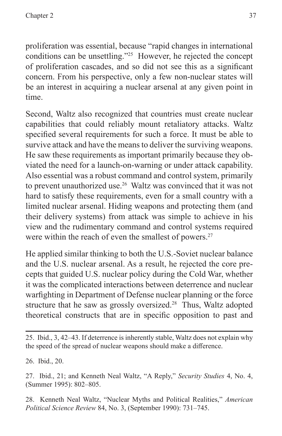proliferation was essential, because "rapid changes in international conditions can be unsettling."25 However, he rejected the concept of proliferation cascades, and so did not see this as a significant concern. From his perspective, only a few non-nuclear states will be an interest in acquiring a nuclear arsenal at any given point in time.

Second, Waltz also recognized that countries must create nuclear capabilities that could reliably mount retaliatory attacks. Waltz specified several requirements for such a force. It must be able to survive attack and have the means to deliver the surviving weapons. He saw these requirements as important primarily because they obviated the need for a launch-on-warning or under attack capability. Also essential was a robust command and control system, primarily to prevent unauthorized use.<sup>26</sup> Waltz was convinced that it was not hard to satisfy these requirements, even for a small country with a limited nuclear arsenal. Hiding weapons and protecting them (and their delivery systems) from attack was simple to achieve in his view and the rudimentary command and control systems required were within the reach of even the smallest of powers.<sup>27</sup>

He applied similar thinking to both the U.S.-Soviet nuclear balance and the U.S. nuclear arsenal. As a result, he rejected the core precepts that guided U.S. nuclear policy during the Cold War, whether it was the complicated interactions between deterrence and nuclear warfighting in Department of Defense nuclear planning or the force structure that he saw as grossly oversized.<sup>28</sup> Thus, Waltz adopted theoretical constructs that are in specific opposition to past and

26. Ibid., 20.

27. Ibid., 21; and Kenneth Neal Waltz, "A Reply," *Security Studies* 4, No. 4, (Summer 1995): 802–805.

28. Kenneth Neal Waltz, "Nuclear Myths and Political Realities," *American Political Science Review* 84, No. 3, (September 1990): 731–745.

<sup>25.</sup> Ibid., 3, 42–43. If deterrence is inherently stable, Waltz does not explain why the speed of the spread of nuclear weapons should make a difference.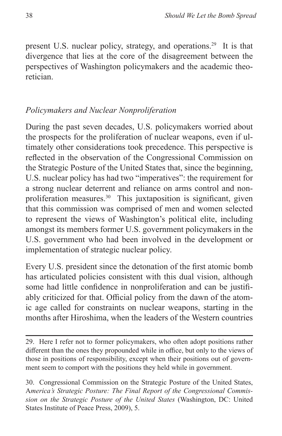present U.S. nuclear policy, strategy, and operations.<sup>29</sup> It is that divergence that lies at the core of the disagreement between the perspectives of Washington policymakers and the academic theoretician.

#### *Policymakers and Nuclear Nonproliferation*

During the past seven decades, U.S. policymakers worried about the prospects for the proliferation of nuclear weapons, even if ultimately other considerations took precedence. This perspective is reflected in the observation of the Congressional Commission on the Strategic Posture of the United States that, since the beginning, U.S. nuclear policy has had two "imperatives": the requirement for a strong nuclear deterrent and reliance on arms control and nonproliferation measures.<sup>30</sup> This juxtaposition is significant, given that this commission was comprised of men and women selected to represent the views of Washington's political elite, including amongst its members former U.S. government policymakers in the U.S. government who had been involved in the development or implementation of strategic nuclear policy.

Every U.S. president since the detonation of the first atomic bomb has articulated policies consistent with this dual vision, although some had little confidence in nonproliferation and can be justifiably criticized for that. Official policy from the dawn of the atomic age called for constraints on nuclear weapons, starting in the months after Hiroshima, when the leaders of the Western countries

<sup>29.</sup> Here I refer not to former policymakers, who often adopt positions rather different than the ones they propounded while in office, but only to the views of those in positions of responsibility, except when their positions out of government seem to comport with the positions they held while in government.

<sup>30.</sup> Congressional Commission on the Strategic Posture of the United States, A*merica's Strategic Posture: The Final Report of the Congressional Commission on the Strategic Posture of the United States* (Washington, DC: United States Institute of Peace Press, 2009), 5.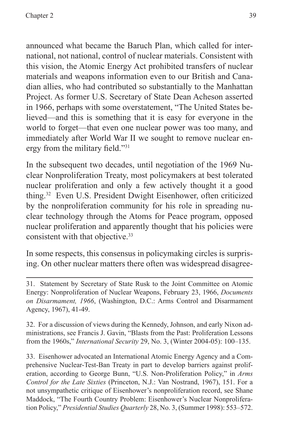announced what became the Baruch Plan, which called for international, not national, control of nuclear materials. Consistent with this vision, the Atomic Energy Act prohibited transfers of nuclear materials and weapons information even to our British and Canadian allies, who had contributed so substantially to the Manhattan Project. As former U.S. Secretary of State Dean Acheson asserted in 1966, perhaps with some overstatement, "The United States believed—and this is something that it is easy for everyone in the world to forget—that even one nuclear power was too many, and immediately after World War II we sought to remove nuclear energy from the military field."<sup>31</sup>

In the subsequent two decades, until negotiation of the 1969 Nuclear Nonproliferation Treaty, most policymakers at best tolerated nuclear proliferation and only a few actively thought it a good thing.32 Even U.S. President Dwight Eisenhower, often criticized by the nonproliferation community for his role in spreading nuclear technology through the Atoms for Peace program, opposed nuclear proliferation and apparently thought that his policies were consistent with that objective.<sup>33</sup>

In some respects, this consensus in policymaking circles is surprising. On other nuclear matters there often was widespread disagree-

32. For a discussion of views during the Kennedy, Johnson, and early Nixon administrations, see Francis J. Gavin, "Blasts from the Past: Proliferation Lessons from the 1960s," *International Security* 29, No. 3, (Winter 2004-05): 100–135.

33. Eisenhower advocated an International Atomic Energy Agency and a Comprehensive Nuclear-Test-Ban Treaty in part to develop barriers against proliferation, according to George Bunn, "U.S. Non-Proliferation Policy," in *Arms Control for the Late Sixties* (Princeton, N.J.: Van Nostrand, 1967), 151. For a not unsympathetic critique of Eisenhower's nonproliferation record, see Shane Maddock, "The Fourth Country Problem: Eisenhower's Nuclear Nonproliferation Policy," *Presidential Studies Quarterly* 28, No. 3, (Summer 1998): 553–572.

<sup>31.</sup> Statement by Secretary of State Rusk to the Joint Committee on Atomic Energy: Nonproliferation of Nuclear Weapons, February 23, 1966, *Documents on Disarmament, 1966*, (Washington, D.C.: Arms Control and Disarmament Agency, 1967), 41-49.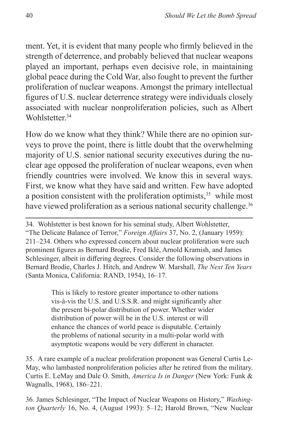ment. Yet, it is evident that many people who firmly believed in the strength of deterrence, and probably believed that nuclear weapons played an important, perhaps even decisive role, in maintaining global peace during the Cold War, also fought to prevent the further proliferation of nuclear weapons. Amongst the primary intellectual figures of U.S. nuclear deterrence strategy were individuals closely associated with nuclear nonproliferation policies, such as Albert Wohlstetter.<sup>34</sup>

How do we know what they think? While there are no opinion surveys to prove the point, there is little doubt that the overwhelming majority of U.S. senior national security executives during the nuclear age opposed the proliferation of nuclear weapons, even when friendly countries were involved. We know this in several ways. First, we know what they have said and written. Few have adopted a position consistent with the proliferation optimists, $35$  while most have viewed proliferation as a serious national security challenge.<sup>36</sup>

34. Wohlstetter is best known for his seminal study, Albert Wohlstetter, "The Delicate Balance of Terror," *Foreign Affairs* 37, No. 2, (January 1959): 211–234. Others who expressed concern about nuclear proliferation were such prominent figures as Bernard Brodie, Fred Iklé, Arnold Kramish, and James Schlesinger, albeit in differing degrees. Consider the following observations in Bernard Brodie, Charles J. Hitch, and Andrew W. Marshall, *The Next Ten Years* (Santa Monica, California: RAND, 1954), 16–17.

> This is likely to restore greater importance to other nations vis-à-vis the U.S. and U.S.S.R. and might significantly alter the present bi-polar distribution of power. Whether wider distribution of power will be in the U.S. interest or will enhance the chances of world peace is disputable. Certainly the problems of national security in a multi-polar world with asymptotic weapons would be very different in character.

35. A rare example of a nuclear proliferation proponent was General Curtis Le-May, who lambasted nonproliferation policies after he retired from the military. Curtis E. LeMay and Dale O. Smith, *America Is in Danger* (New York: Funk & Wagnalls, 1968), 186–221.

36. James Schlesinger, "The Impact of Nuclear Weapons on History," *Washington Quarterly* 16, No. 4, (August 1993): 5–12; Harold Brown, "New Nuclear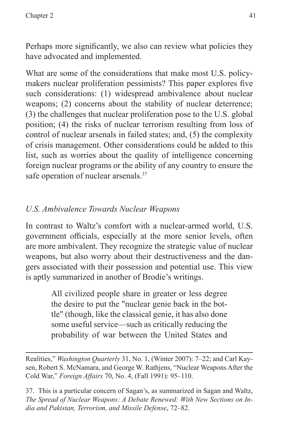Perhaps more significantly, we also can review what policies they have advocated and implemented.

What are some of the considerations that make most U.S. policymakers nuclear proliferation pessimists? This paper explores five such considerations: (1) widespread ambivalence about nuclear weapons; (2) concerns about the stability of nuclear deterrence; (3) the challenges that nuclear proliferation pose to the U.S. global position; (4) the risks of nuclear terrorism resulting from loss of control of nuclear arsenals in failed states; and, (5) the complexity of crisis management. Other considerations could be added to this list, such as worries about the quality of intelligence concerning foreign nuclear programs or the ability of any country to ensure the safe operation of nuclear arsenals.<sup>37</sup>

## *U.S. Ambivalence Towards Nuclear Weapons*

In contrast to Waltz's comfort with a nuclear-armed world, U.S. government officials, especially at the more senior levels, often are more ambivalent. They recognize the strategic value of nuclear weapons, but also worry about their destructiveness and the dangers associated with their possession and potential use. This view is aptly summarized in another of Brodie's writings.

> All civilized people share in greater or less degree the desire to put the "nuclear genie back in the bottle" (though, like the classical genie, it has also done some useful service—such as critically reducing the probability of war between the United States and

Realities," *Washington Quarterly* 31, No. 1, (Winter 2007): 7–22; and Carl Kaysen, Robert S. McNamara, and George W. Rathjens, "Nuclear Weapons After the Cold War," *Foreign Affairs* 70, No. 4, (Fall 1991): 95–110.

37. This is a particular concern of Sagan's, as summarized in Sagan and Waltz, *The Spread of Nuclear Weapons: A Debate Renewed: With New Sections on India and Pakistan, Terrorism, and Missile Defense*, 72–82.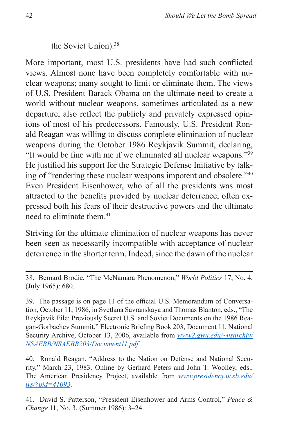the Soviet Union).38

More important, most U.S. presidents have had such conflicted views. Almost none have been completely comfortable with nuclear weapons; many sought to limit or eliminate them. The views of U.S. President Barack Obama on the ultimate need to create a world without nuclear weapons, sometimes articulated as a new departure, also reflect the publicly and privately expressed opinions of most of his predecessors. Famously, U.S. President Ronald Reagan was willing to discuss complete elimination of nuclear weapons during the October 1986 Reykjavik Summit, declaring, "It would be fine with me if we eliminated all nuclear weapons."<sup>39</sup> He justified his support for the Strategic Defense Initiative by talking of "rendering these nuclear weapons impotent and obsolete."40 Even President Eisenhower, who of all the presidents was most attracted to the benefits provided by nuclear deterrence, often expressed both his fears of their destructive powers and the ultimate need to eliminate them.<sup>41</sup>

Striving for the ultimate elimination of nuclear weapons has never been seen as necessarily incompatible with acceptance of nuclear deterrence in the shorter term. Indeed, since the dawn of the nuclear

38. Bernard Brodie, "The McNamara Phenomenon," *World Politics* 17, No. 4, (July 1965): 680.

39. The passage is on page 11 of the official U.S. Memorandum of Conversation, October 11, 1986, in Svetlana Savranskaya and Thomas Blanton, eds., "The Reykjavik File: Previously Secret U.S. and Soviet Documents on the 1986 Reagan-Gorbachev Summit," Electronic Briefing Book 203, Document 11, National Security Archive, October 13, 2006, available from *[www2.gwu.edu/~nsarchiv/](www2.gwu.edu/~nsarchiv/NSAEBB/NSAEBB203/Document11.pdf) [NSAEBB/NSAEBB203/Document11.pdf](www2.gwu.edu/~nsarchiv/NSAEBB/NSAEBB203/Document11.pdf).*

40. Ronald Reagan, "Address to the Nation on Defense and National Security," March 23, 1983. Online by Gerhard Peters and John T. Woolley, eds., The American Presidency Project, available from *[www.presidency.ucsb.edu/](www.presidency.ucsb.edu/ws/?pid=41093) [ws/?pid=41093](www.presidency.ucsb.edu/ws/?pid=41093)*.

41. David S. Patterson, "President Eisenhower and Arms Control," *Peace & Change* 11, No. 3, (Summer 1986): 3–24.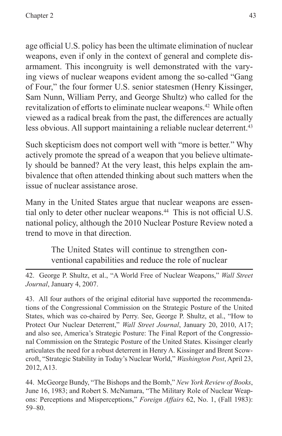age official U.S. policy has been the ultimate elimination of nuclear weapons, even if only in the context of general and complete disarmament. This incongruity is well demonstrated with the varying views of nuclear weapons evident among the so-called "Gang of Four," the four former U.S. senior statesmen (Henry Kissinger, Sam Nunn, William Perry, and George Shultz) who called for the revitalization of efforts to eliminate nuclear weapons.<sup>42</sup> While often viewed as a radical break from the past, the differences are actually less obvious. All support maintaining a reliable nuclear deterrent.<sup>43</sup>

Such skepticism does not comport well with "more is better." Why actively promote the spread of a weapon that you believe ultimately should be banned? At the very least, this helps explain the ambivalence that often attended thinking about such matters when the issue of nuclear assistance arose.

Many in the United States argue that nuclear weapons are essential only to deter other nuclear weapons.<sup>44</sup> This is not official U.S. national policy, although the 2010 Nuclear Posture Review noted a trend to move in that direction.

> The United States will continue to strengthen conventional capabilities and reduce the role of nuclear

42. George P. Shultz, et al., "A World Free of Nuclear Weapons," *Wall Street Journal*, January 4, 2007.

43. All four authors of the original editorial have supported the recommendations of the Congressional Commission on the Strategic Posture of the United States, which was co-chaired by Perry. See, George P. Shultz, et al., "How to Protect Our Nuclear Deterrent," *Wall Street Journal*, January 20, 2010, A17; and also see, America's Strategic Posture: The Final Report of the Congressional Commission on the Strategic Posture of the United States. Kissinger clearly articulates the need for a robust deterrent in Henry A. Kissinger and Brent Scowcroft, "Strategic Stability in Today's Nuclear World," *Washington Post*, April 23, 2012, A13.

44. McGeorge Bundy, "The Bishops and the Bomb," *New York Review of Books*, June 16, 1983; and Robert S. McNamara, "The Military Role of Nuclear Weapons: Perceptions and Misperceptions," *Foreign Affairs* 62, No. 1, (Fall 1983): 59–80.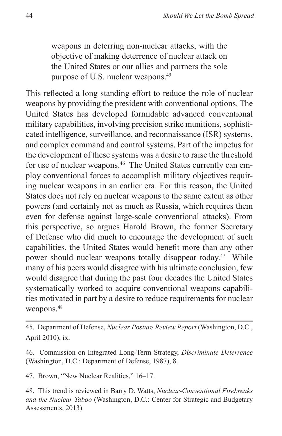weapons in deterring non-nuclear attacks, with the objective of making deterrence of nuclear attack on the United States or our allies and partners the sole purpose of U.S. nuclear weapons.45

This reflected a long standing effort to reduce the role of nuclear weapons by providing the president with conventional options. The United States has developed formidable advanced conventional military capabilities, involving precision strike munitions, sophisticated intelligence, surveillance, and reconnaissance (ISR) systems, and complex command and control systems. Part of the impetus for the development of these systems was a desire to raise the threshold for use of nuclear weapons.<sup>46</sup> The United States currently can employ conventional forces to accomplish military objectives requiring nuclear weapons in an earlier era. For this reason, the United States does not rely on nuclear weapons to the same extent as other powers (and certainly not as much as Russia, which requires them even for defense against large-scale conventional attacks). From this perspective, so argues Harold Brown, the former Secretary of Defense who did much to encourage the development of such capabilities, the United States would benefit more than any other power should nuclear weapons totally disappear today.<sup>47</sup> While many of his peers would disagree with his ultimate conclusion, few would disagree that during the past four decades the United States systematically worked to acquire conventional weapons capabilities motivated in part by a desire to reduce requirements for nuclear weapons.<sup>48</sup>

45. Department of Defense, *Nuclear Posture Review Report* (Washington, D.C., April 2010), ix.

46. Commission on Integrated Long-Term Strategy, *Discriminate Deterrence* (Washington, D.C.: Department of Defense, 1987), 8.

47. Brown, "New Nuclear Realities," 16–17.

48. This trend is reviewed in Barry D. Watts, *Nuclear-Conventional Firebreaks and the Nuclear Taboo* (Washington, D.C.: Center for Strategic and Budgetary Assessments, 2013).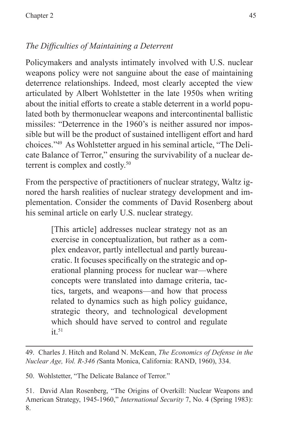# *The Difficulties of Maintaining a Deterrent*

Policymakers and analysts intimately involved with U.S. nuclear weapons policy were not sanguine about the ease of maintaining deterrence relationships. Indeed, most clearly accepted the view articulated by Albert Wohlstetter in the late 1950s when writing about the initial efforts to create a stable deterrent in a world populated both by thermonuclear weapons and intercontinental ballistic missiles: "Deterrence in the 1960's is neither assured nor impossible but will be the product of sustained intelligent effort and hard choices."49 As Wohlstetter argued in his seminal article, "The Delicate Balance of Terror," ensuring the survivability of a nuclear deterrent is complex and costly.<sup>50</sup>

From the perspective of practitioners of nuclear strategy, Waltz ignored the harsh realities of nuclear strategy development and implementation. Consider the comments of David Rosenberg about his seminal article on early U.S. nuclear strategy.

> [This article] addresses nuclear strategy not as an exercise in conceptualization, but rather as a complex endeavor, partly intellectual and partly bureaucratic. It focuses specifically on the strategic and operational planning process for nuclear war—where concepts were translated into damage criteria, tactics, targets, and weapons—and how that process related to dynamics such as high policy guidance, strategic theory, and technological development which should have served to control and regulate  $it$ <sup>51</sup>

49. Charles J. Hitch and Roland N. McKean, *The Economics of Defense in the Nuclear Age, Vol. R-346 (*Santa Monica, California: RAND, 1960), 334.

50. Wohlstetter, "The Delicate Balance of Terror."

51. David Alan Rosenberg, "The Origins of Overkill: Nuclear Weapons and American Strategy, 1945-1960," *International Security* 7, No. 4 (Spring 1983): 8.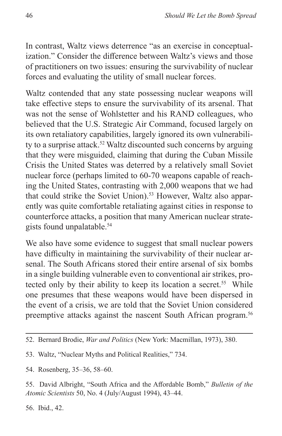In contrast, Waltz views deterrence "as an exercise in conceptualization." Consider the difference between Waltz's views and those of practitioners on two issues: ensuring the survivability of nuclear forces and evaluating the utility of small nuclear forces.

Waltz contended that any state possessing nuclear weapons will take effective steps to ensure the survivability of its arsenal. That was not the sense of Wohlstetter and his RAND colleagues, who believed that the U.S. Strategic Air Command, focused largely on its own retaliatory capabilities, largely ignored its own vulnerability to a surprise attack.<sup>52</sup> Waltz discounted such concerns by arguing that they were misguided, claiming that during the Cuban Missile Crisis the United States was deterred by a relatively small Soviet nuclear force (perhaps limited to 60-70 weapons capable of reaching the United States, contrasting with 2,000 weapons that we had that could strike the Soviet Union).<sup>53</sup> However, Waltz also apparently was quite comfortable retaliating against cities in response to counterforce attacks, a position that many American nuclear strategists found unpalatable.<sup>54</sup>

We also have some evidence to suggest that small nuclear powers have difficulty in maintaining the survivability of their nuclear arsenal. The South Africans stored their entire arsenal of six bombs in a single building vulnerable even to conventional air strikes, protected only by their ability to keep its location a secret.<sup>55</sup> While one presumes that these weapons would have been dispersed in the event of a crisis, we are told that the Soviet Union considered preemptive attacks against the nascent South African program.<sup>56</sup>

54. Rosenberg, 35–36, 58–60.

55. David Albright, "South Africa and the Affordable Bomb," *Bulletin of the Atomic Scientists* 50, No. 4 (July/August 1994), 43–44.

56. Ibid., 42.

<sup>52.</sup> Bernard Brodie, *War and Politics* (New York: Macmillan, 1973), 380.

<sup>53.</sup> Waltz, "Nuclear Myths and Political Realities," 734.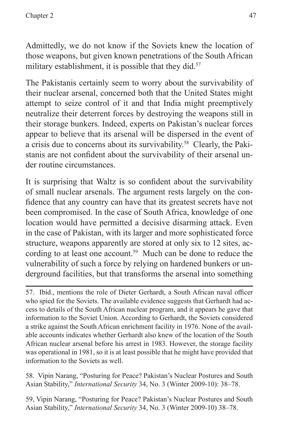Admittedly, we do not know if the Soviets knew the location of those weapons, but given known penetrations of the South African military establishment, it is possible that they did.<sup>57</sup>

The Pakistanis certainly seem to worry about the survivability of their nuclear arsenal, concerned both that the United States might attempt to seize control of it and that India might preemptively neutralize their deterrent forces by destroying the weapons still in their storage bunkers. Indeed, experts on Pakistan's nuclear forces appear to believe that its arsenal will be dispersed in the event of a crisis due to concerns about its survivability.58 Clearly, the Pakistanis are not confident about the survivability of their arsenal under routine circumstances.

It is surprising that Waltz is so confident about the survivability of small nuclear arsenals. The argument rests largely on the confidence that any country can have that its greatest secrets have not been compromised. In the case of South Africa, knowledge of one location would have permitted a decisive disarming attack. Even in the case of Pakistan, with its larger and more sophisticated force structure, weapons apparently are stored at only six to 12 sites, according to at least one account.<sup>59</sup> Much can be done to reduce the vulnerability of such a force by relying on hardened bunkers or underground facilities, but that transforms the arsenal into something

58. Vipin Narang, "Posturing for Peace? Pakistan's Nuclear Postures and South Asian Stability," *International Security* 34, No. 3 (Winter 2009-10): 38–78.

59, Vipin Narang, "Posturing for Peace? Pakistan's Nuclear Postures and South Asian Stability," *International Security* 34, No. 3 (Winter 2009-10) 38–78.

<sup>57.</sup> Ibid., mentions the role of Dieter Gerhardt, a South African naval officer who spied for the Soviets. The available evidence suggests that Gerhardt had access to details of the South African nuclear program, and it appears he gave that information to the Soviet Union. According to Gerhardt, the Soviets considered a strike against the South African enrichment facility in 1976. None of the available accounts indicates whether Gerhardt also knew of the location of the South African nuclear arsenal before his arrest in 1983. However, the storage facility was operational in 1981, so it is at least possible that he might have provided that information to the Soviets as well.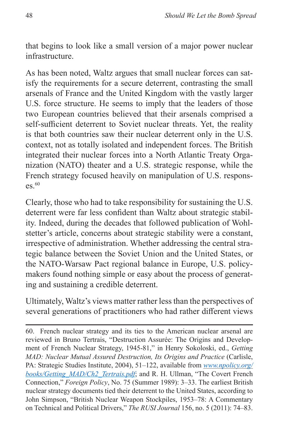that begins to look like a small version of a major power nuclear infrastructure.

As has been noted, Waltz argues that small nuclear forces can satisfy the requirements for a secure deterrent, contrasting the small arsenals of France and the United Kingdom with the vastly larger U.S. force structure. He seems to imply that the leaders of those two European countries believed that their arsenals comprised a self-sufficient deterrent to Soviet nuclear threats. Yet, the reality is that both countries saw their nuclear deterrent only in the U.S. context, not as totally isolated and independent forces. The British integrated their nuclear forces into a North Atlantic Treaty Organization (NATO) theater and a U.S. strategic response, while the French strategy focused heavily on manipulation of U.S. respons- $\text{es.}^{60}$ 

Clearly, those who had to take responsibility for sustaining the U.S. deterrent were far less confident than Waltz about strategic stability. Indeed, during the decades that followed publication of Wohlstetter's article, concerns about strategic stability were a constant, irrespective of administration. Whether addressing the central strategic balance between the Soviet Union and the United States, or the NATO-Warsaw Pact regional balance in Europe, U.S. policymakers found nothing simple or easy about the process of generating and sustaining a credible deterrent.

Ultimately, Waltz's views matter rather less than the perspectives of several generations of practitioners who had rather different views

60. French nuclear strategy and its ties to the American nuclear arsenal are reviewed in Bruno Tertrais, "Destruction Assurée: The Origins and Development of French Nuclear Strategy, 1945-81," in Henry Sokoloski, ed., *Getting MAD: Nuclear Mutual Assured Destruction, Its Origins and Practice* (Carlisle, PA: Strategic Studies Institute, 2004), 51–122, available from *[www.npolicy.org/](www.npolicy.org/books/Getting_MAD/Ch2_Tertrais.pdf) [books/Getting\\_MAD/Ch2\\_Tertrais.pdf](www.npolicy.org/books/Getting_MAD/Ch2_Tertrais.pdf)*; and R. H. Ullman, "The Covert French Connection," *Foreign Policy*, No. 75 (Summer 1989): 3–33. The earliest British nuclear strategy documents tied their deterrent to the United States, according to John Simpson, "British Nuclear Weapon Stockpiles, 1953–78: A Commentary on Technical and Political Drivers," *The RUSI Journal* 156, no. 5 (2011): 74–83.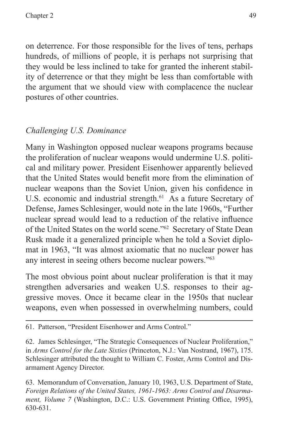on deterrence. For those responsible for the lives of tens, perhaps hundreds, of millions of people, it is perhaps not surprising that they would be less inclined to take for granted the inherent stability of deterrence or that they might be less than comfortable with the argument that we should view with complacence the nuclear postures of other countries.

#### *Challenging U.S. Dominance*

Many in Washington opposed nuclear weapons programs because the proliferation of nuclear weapons would undermine U.S. political and military power. President Eisenhower apparently believed that the United States would benefit more from the elimination of nuclear weapons than the Soviet Union, given his confidence in U.S. economic and industrial strength.<sup>61</sup> As a future Secretary of Defense, James Schlesinger, would note in the late 1960s, "Further nuclear spread would lead to a reduction of the relative influence of the United States on the world scene."62 Secretary of State Dean Rusk made it a generalized principle when he told a Soviet diplomat in 1963, "It was almost axiomatic that no nuclear power has any interest in seeing others become nuclear powers."63

The most obvious point about nuclear proliferation is that it may strengthen adversaries and weaken U.S. responses to their aggressive moves. Once it became clear in the 1950s that nuclear weapons, even when possessed in overwhelming numbers, could

63. Memorandum of Conversation, January 10, 1963, U.S. Department of State, *Foreign Relations of the United States, 1961-1963: Arms Control and Disarmament, Volume 7* (Washington, D.C.: U.S. Government Printing Office, 1995), 630-631.

<sup>61.</sup> Patterson, "President Eisenhower and Arms Control."

<sup>62.</sup> James Schlesinger, "The Strategic Consequences of Nuclear Proliferation," in *Arms Control for the Late Sixties* (Princeton, N.J.: Van Nostrand, 1967), 175. Schlesinger attributed the thought to William C. Foster, Arms Control and Disarmament Agency Director.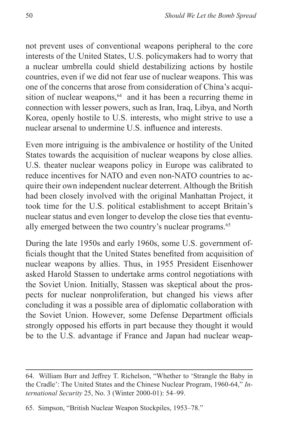not prevent uses of conventional weapons peripheral to the core interests of the United States, U.S. policymakers had to worry that a nuclear umbrella could shield destabilizing actions by hostile countries, even if we did not fear use of nuclear weapons. This was one of the concerns that arose from consideration of China's acquisition of nuclear weapons, $64$  and it has been a recurring theme in connection with lesser powers, such as Iran, Iraq, Libya, and North Korea, openly hostile to U.S. interests, who might strive to use a nuclear arsenal to undermine U.S. influence and interests.

Even more intriguing is the ambivalence or hostility of the United States towards the acquisition of nuclear weapons by close allies. U.S. theater nuclear weapons policy in Europe was calibrated to reduce incentives for NATO and even non-NATO countries to acquire their own independent nuclear deterrent. Although the British had been closely involved with the original Manhattan Project, it took time for the U.S. political establishment to accept Britain's nuclear status and even longer to develop the close ties that eventually emerged between the two country's nuclear programs.<sup>65</sup>

During the late 1950s and early 1960s, some U.S. government officials thought that the United States benefited from acquisition of nuclear weapons by allies. Thus, in 1955 President Eisenhower asked Harold Stassen to undertake arms control negotiations with the Soviet Union. Initially, Stassen was skeptical about the prospects for nuclear nonproliferation, but changed his views after concluding it was a possible area of diplomatic collaboration with the Soviet Union. However, some Defense Department officials strongly opposed his efforts in part because they thought it would be to the U.S. advantage if France and Japan had nuclear weap-

<sup>64.</sup> William Burr and Jeffrey T. Richelson, "Whether to 'Strangle the Baby in the Cradle': The United States and the Chinese Nuclear Program, 1960-64," *International Security* 25, No. 3 (Winter 2000-01): 54–99.

<sup>65.</sup> Simpson, "British Nuclear Weapon Stockpiles, 1953–78."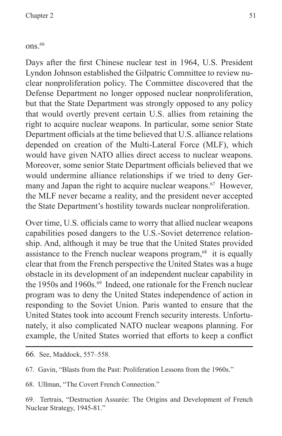#### $ons.<sup>66</sup>$

Days after the first Chinese nuclear test in 1964, U.S. President Lyndon Johnson established the Gilpatric Committee to review nuclear nonproliferation policy. The Committee discovered that the Defense Department no longer opposed nuclear nonproliferation, but that the State Department was strongly opposed to any policy that would overtly prevent certain U.S. allies from retaining the right to acquire nuclear weapons. In particular, some senior State Department officials at the time believed that U.S. alliance relations depended on creation of the Multi-Lateral Force (MLF), which would have given NATO allies direct access to nuclear weapons. Moreover, some senior State Department officials believed that we would undermine alliance relationships if we tried to deny Germany and Japan the right to acquire nuclear weapons.<sup>67</sup> However, the MLF never became a reality, and the president never accepted the State Department's hostility towards nuclear nonproliferation.

Over time, U.S. officials came to worry that allied nuclear weapons capabilities posed dangers to the U.S.-Soviet deterrence relationship. And, although it may be true that the United States provided assistance to the French nuclear weapons program, $68$  it is equally clear that from the French perspective the United States was a huge obstacle in its development of an independent nuclear capability in the 1950s and 1960s.<sup>69</sup> Indeed, one rationale for the French nuclear program was to deny the United States independence of action in responding to the Soviet Union. Paris wanted to ensure that the United States took into account French security interests. Unfortunately, it also complicated NATO nuclear weapons planning. For example, the United States worried that efforts to keep a conflict

68. Ullman, "The Covert French Connection."

69. Tertrais, "Destruction Assurée: The Origins and Development of French Nuclear Strategy, 1945-81."

<sup>66</sup>. See, Maddock, 557–558.

<sup>67.</sup> Gavin, "Blasts from the Past: Proliferation Lessons from the 1960s."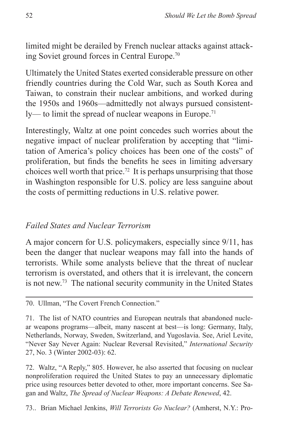limited might be derailed by French nuclear attacks against attacking Soviet ground forces in Central Europe.70

Ultimately the United States exerted considerable pressure on other friendly countries during the Cold War, such as South Korea and Taiwan, to constrain their nuclear ambitions, and worked during the 1950s and 1960s—admittedly not always pursued consistent $l$ <sub>y</sub>— to limit the spread of nuclear weapons in Europe.<sup>71</sup>

Interestingly, Waltz at one point concedes such worries about the negative impact of nuclear proliferation by accepting that "limitation of America's policy choices has been one of the costs" of proliferation, but finds the benefits he sees in limiting adversary choices well worth that price.72 It is perhaps unsurprising that those in Washington responsible for U.S. policy are less sanguine about the costs of permitting reductions in U.S. relative power.

#### *Failed States and Nuclear Terrorism*

A major concern for U.S. policymakers, especially since 9/11, has been the danger that nuclear weapons may fall into the hands of terrorists. While some analysts believe that the threat of nuclear terrorism is overstated, and others that it is irrelevant, the concern is not new.73 The national security community in the United States

72. Waltz, "A Reply," 805. However, he also asserted that focusing on nuclear nonproliferation required the United States to pay an unnecessary diplomatic price using resources better devoted to other, more important concerns. See Sagan and Waltz, *The Spread of Nuclear Weapons: A Debate Renewed*, 42.

73.. Brian Michael Jenkins, *Will Terrorists Go Nuclear?* (Amherst, N.Y.: Pro-

<sup>70.</sup> Ullman, "The Covert French Connection."

<sup>71.</sup> The list of NATO countries and European neutrals that abandoned nuclear weapons programs—albeit, many nascent at best—is long: Germany, Italy, Netherlands, Norway, Sweden, Switzerland, and Yugoslavia. See, Ariel Levite, "Never Say Never Again: Nuclear Reversal Revisited," *International Security* 27, No. 3 (Winter 2002-03): 62.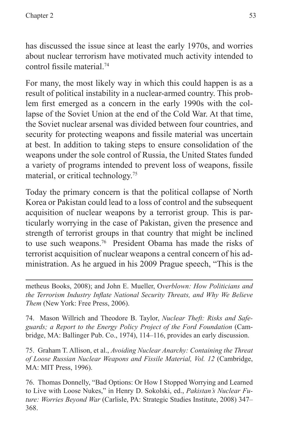has discussed the issue since at least the early 1970s, and worries about nuclear terrorism have motivated much activity intended to control fissile material.<sup>74</sup>

For many, the most likely way in which this could happen is as a result of political instability in a nuclear-armed country. This problem first emerged as a concern in the early 1990s with the collapse of the Soviet Union at the end of the Cold War. At that time, the Soviet nuclear arsenal was divided between four countries, and security for protecting weapons and fissile material was uncertain at best. In addition to taking steps to ensure consolidation of the weapons under the sole control of Russia, the United States funded a variety of programs intended to prevent loss of weapons, fissile material, or critical technology.75

Today the primary concern is that the political collapse of North Korea or Pakistan could lead to a loss of control and the subsequent acquisition of nuclear weapons by a terrorist group. This is particularly worrying in the case of Pakistan, given the presence and strength of terrorist groups in that country that might be inclined to use such weapons.76 President Obama has made the risks of terrorist acquisition of nuclear weapons a central concern of his administration. As he argued in his 2009 Prague speech, "This is the

metheus Books, 2008); and John E. Mueller, O*verblown: How Politicians and the Terrorism Industry Inflate National Security Threats, and Why We Believe Them* (New York: Free Press, 2006).

74. Mason Willrich and Theodore B. Taylor, *Nuclear Theft: Risks and Safeguards; a Report to the Energy Policy Project of the Ford Foundation* (Cambridge, MA: Ballinger Pub. Co., 1974), 114–116, provides an early discussion.

75. Graham T. Allison, et al., *Avoiding Nuclear Anarchy: Containing the Threat of Loose Russian Nuclear Weapons and Fissile Material, Vol. 12* (Cambridge, MA: MIT Press, 1996).

76. Thomas Donnelly, "Bad Options: Or How I Stopped Worrying and Learned to Live with Loose Nukes," in Henry D. Sokolski, ed., *Pakistan's Nuclear Future: Worries Beyond War* (Carlisle, PA: Strategic Studies Institute, 2008) 347– 368.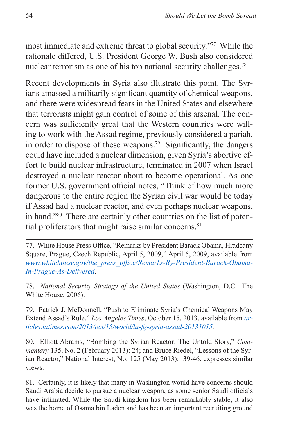most immediate and extreme threat to global security."77 While the rationale differed, U.S. President George W. Bush also considered nuclear terrorism as one of his top national security challenges.<sup>78</sup>

Recent developments in Syria also illustrate this point. The Syrians amassed a militarily significant quantity of chemical weapons, and there were widespread fears in the United States and elsewhere that terrorists might gain control of some of this arsenal. The concern was sufficiently great that the Western countries were willing to work with the Assad regime, previously considered a pariah, in order to dispose of these weapons.<sup>79</sup> Significantly, the dangers could have included a nuclear dimension, given Syria's abortive effort to build nuclear infrastructure, terminated in 2007 when Israel destroyed a nuclear reactor about to become operational. As one former U.S. government official notes, "Think of how much more dangerous to the entire region the Syrian civil war would be today if Assad had a nuclear reactor, and even perhaps nuclear weapons, in hand."80 There are certainly other countries on the list of potential proliferators that might raise similar concerns. $81$ 

78. *National Security Strategy of the United States* (Washington, D.C.: The White House, 2006).

79. Patrick J. McDonnell, "Push to Eliminate Syria's Chemical Weapons May Extend Assad's Rule," *Los Angeles Times*, October 15, 2013, available from *[ar](articles.latimes.com/2013/oct/15/world/la-fg-syria-assad-20131015)[ticles.latimes.com/2013/oct/15/world/la-fg-syria-assad-20131015.](articles.latimes.com/2013/oct/15/world/la-fg-syria-assad-20131015)*

80. Elliott Abrams, "Bombing the Syrian Reactor: The Untold Story," *Commentary* 135, No. 2 (February 2013): 24; and Bruce Riedel, "Lessons of the Syrian Reactor," National Interest, No. 125 (May 2013): 39-46, expresses similar views.

81. Certainly, it is likely that many in Washington would have concerns should Saudi Arabia decide to pursue a nuclear weapon, as some senior Saudi officials have intimated. While the Saudi kingdom has been remarkably stable, it also was the home of Osama bin Laden and has been an important recruiting ground

<sup>77.</sup> White House Press Office, "Remarks by President Barack Obama, Hradcany Square, Prague, Czech Republic, April 5, 2009," April 5, 2009, available from *[www.whitehouse.gov/the\\_press\\_office/Remarks-By-President-Barack-Obama-](www.whitehouse.gov/the_press_office/Remarks-By-President-Barack-Obama-In-Prague-As-Delivered)[In-Prague-As-Delivered](www.whitehouse.gov/the_press_office/Remarks-By-President-Barack-Obama-In-Prague-As-Delivered)*.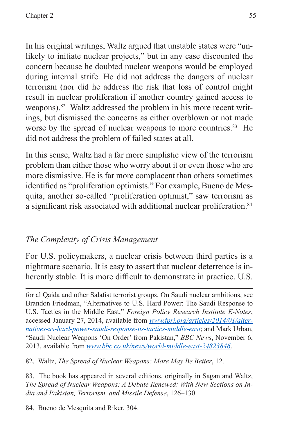In his original writings, Waltz argued that unstable states were "unlikely to initiate nuclear projects," but in any case discounted the concern because he doubted nuclear weapons would be employed during internal strife. He did not address the dangers of nuclear terrorism (nor did he address the risk that loss of control might result in nuclear proliferation if another country gained access to weapons).<sup>82</sup> Waltz addressed the problem in his more recent writings, but dismissed the concerns as either overblown or not made worse by the spread of nuclear weapons to more countries.<sup>83</sup> He did not address the problem of failed states at all.

In this sense, Waltz had a far more simplistic view of the terrorism problem than either those who worry about it or even those who are more dismissive. He is far more complacent than others sometimes identified as "proliferation optimists." For example, Bueno de Mesquita, another so-called "proliferation optimist," saw terrorism as a significant risk associated with additional nuclear proliferation.<sup>84</sup>

#### *The Complexity of Crisis Management*

For U.S. policymakers, a nuclear crisis between third parties is a nightmare scenario. It is easy to assert that nuclear deterrence is inherently stable. It is more difficult to demonstrate in practice. U.S.

for al Qaida and other Salafist terrorist groups. On Saudi nuclear ambitions, see Brandon Friedman, "Alternatives to U.S. Hard Power: The Saudi Response to U.S. Tactics in the Middle East," *Foreign Policy Research Institute E-Notes*, accessed January 27, 2014, available from *[www.fpri.org/articles/2014/01/alter](www.fpri.org/articles/2014/01/alternatives-us-hard-power-saudi-response-us-tactics-middle-east)[natives-us-hard-power-saudi-response-us-tactics-middle-east](www.fpri.org/articles/2014/01/alternatives-us-hard-power-saudi-response-us-tactics-middle-east)*; and Mark Urban, "Saudi Nuclear Weapons 'On Order' from Pakistan," *BBC News*, November 6, 2013, available from *<www.bbc.co.uk/news/world-middle-east-24823846>*.

82. Waltz, *The Spread of Nuclear Weapons: More May Be Better*, 12.

83. The book has appeared in several editions, originally in Sagan and Waltz, *The Spread of Nuclear Weapons: A Debate Renewed: With New Sections on India and Pakistan, Terrorism, and Missile Defense*, 126–130.

84. Bueno de Mesquita and Riker, 304.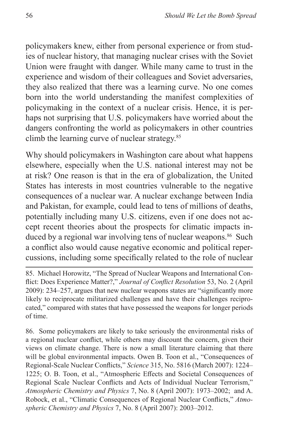policymakers knew, either from personal experience or from studies of nuclear history, that managing nuclear crises with the Soviet Union were fraught with danger. While many came to trust in the experience and wisdom of their colleagues and Soviet adversaries, they also realized that there was a learning curve. No one comes born into the world understanding the manifest complexities of policymaking in the context of a nuclear crisis. Hence, it is perhaps not surprising that U.S. policymakers have worried about the dangers confronting the world as policymakers in other countries climb the learning curve of nuclear strategy.<sup>85</sup>

Why should policymakers in Washington care about what happens elsewhere, especially when the U.S. national interest may not be at risk? One reason is that in the era of globalization, the United States has interests in most countries vulnerable to the negative consequences of a nuclear war. A nuclear exchange between India and Pakistan, for example, could lead to tens of millions of deaths, potentially including many U.S. citizens, even if one does not accept recent theories about the prospects for climatic impacts induced by a regional war involving tens of nuclear weapons.<sup>86</sup> Such a conflict also would cause negative economic and political repercussions, including some specifically related to the role of nuclear

85. Michael Horowitz, "The Spread of Nuclear Weapons and International Conflict: Does Experience Matter?," *Journal of Conflict Resolution* 53, No. 2 (April 2009): 234–257, argues that new nuclear weapons states are "significantly more likely to reciprocate militarized challenges and have their challenges reciprocated," compared with states that have possessed the weapons for longer periods of time.

86. Some policymakers are likely to take seriously the environmental risks of a regional nuclear conflict, while others may discount the concern, given their views on climate change. There is now a small literature claiming that there will be global environmental impacts. Owen B. Toon et al., "Consequences of Regional-Scale Nuclear Conflicts," *Science* 315, No. 5816 (March 2007): 1224– 1225; O. B. Toon, et al., "Atmospheric Effects and Societal Consequences of Regional Scale Nuclear Conflicts and Acts of Individual Nuclear Terrorism," *Atmospheric Chemistry and Physics* 7, No. 8 (April 2007): 1973–2002; and A. Robock, et al., "Climatic Consequences of Regional Nuclear Conflicts," *Atmospheric Chemistry and Physics* 7, No. 8 (April 2007): 2003–2012.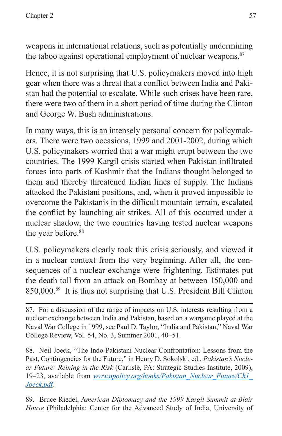weapons in international relations, such as potentially undermining the taboo against operational employment of nuclear weapons. $87$ 

Hence, it is not surprising that U.S. policymakers moved into high gear when there was a threat that a conflict between India and Pakistan had the potential to escalate. While such crises have been rare, there were two of them in a short period of time during the Clinton and George W. Bush administrations.

In many ways, this is an intensely personal concern for policymakers. There were two occasions, 1999 and 2001-2002, during which U.S. policymakers worried that a war might erupt between the two countries. The 1999 Kargil crisis started when Pakistan infiltrated forces into parts of Kashmir that the Indians thought belonged to them and thereby threatened Indian lines of supply. The Indians attacked the Pakistani positions, and, when it proved impossible to overcome the Pakistanis in the difficult mountain terrain, escalated the conflict by launching air strikes. All of this occurred under a nuclear shadow, the two countries having tested nuclear weapons the year before.<sup>88</sup>

U.S. policymakers clearly took this crisis seriously, and viewed it in a nuclear context from the very beginning. After all, the consequences of a nuclear exchange were frightening. Estimates put the death toll from an attack on Bombay at between 150,000 and 850,000.89 It is thus not surprising that U.S. President Bill Clinton

88. Neil Joeck, "The Indo-Pakistani Nuclear Confrontation: Lessons from the Past, Contingencies for the Future," in Henry D. Sokolski, ed., *Pakistan's Nuclear Future: Reining in the Risk* (Carlisle, PA: Strategic Studies Institute, 2009), 19–23, available from *[www.npolicy.org/books/Pakistan\\_Nuclear\\_Future/Ch1\\_](www.npolicy.org/books/Pakistan_Nuclear_Future/Ch1_Joeck.pdf) [Joeck.pdf](www.npolicy.org/books/Pakistan_Nuclear_Future/Ch1_Joeck.pdf).*

89. Bruce Riedel, A*merican Diplomacy and the 1999 Kargil Summit at Blair House* (Philadelphia: Center for the Advanced Study of India, University of

<sup>87.</sup> For a discussion of the range of impacts on U.S. interests resulting from a nuclear exchange between India and Pakistan, based on a wargame played at the Naval War College in 1999, see Paul D. Taylor, "India and Pakistan," Naval War College Review, Vol. 54, No. 3, Summer 2001, 40–51.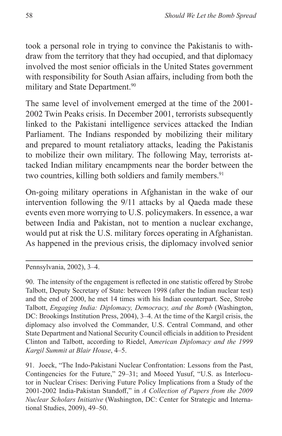took a personal role in trying to convince the Pakistanis to withdraw from the territory that they had occupied, and that diplomacy involved the most senior officials in the United States government with responsibility for South Asian affairs, including from both the military and State Department.<sup>90</sup>

The same level of involvement emerged at the time of the 2001- 2002 Twin Peaks crisis. In December 2001, terrorists subsequently linked to the Pakistani intelligence services attacked the Indian Parliament. The Indians responded by mobilizing their military and prepared to mount retaliatory attacks, leading the Pakistanis to mobilize their own military. The following May, terrorists attacked Indian military encampments near the border between the two countries, killing both soldiers and family members.<sup>91</sup>

On-going military operations in Afghanistan in the wake of our intervention following the 9/11 attacks by al Qaeda made these events even more worrying to U.S. policymakers. In essence, a war between India and Pakistan, not to mention a nuclear exchange, would put at risk the U.S. military forces operating in Afghanistan. As happened in the previous crisis, the diplomacy involved senior

Pennsylvania, 2002), 3–4.

90. The intensity of the engagement is reflected in one statistic offered by Strobe Talbott, Deputy Secretary of State: between 1998 (after the Indian nuclear test) and the end of 2000, he met 14 times with his Indian counterpart. See, Strobe Talbott, *Engaging India: Diplomacy, Democracy, and the Bomb* (Washington, DC: Brookings Institution Press, 2004), 3–4. At the time of the Kargil crisis, the diplomacy also involved the Commander, U.S. Central Command, and other State Department and National Security Council officials in addition to President Clinton and Talbott, according to Riedel, A*merican Diplomacy and the 1999 Kargil Summit at Blair House*, 4–5.

91. Joeck, "The Indo-Pakistani Nuclear Confrontation: Lessons from the Past, Contingencies for the Future," 29–31; and Moeed Yusuf, "U.S. as Interlocutor in Nuclear Crises: Deriving Future Policy Implications from a Study of the 2001-2002 India-Pakistan Standoff," in *A Collection of Papers from the 2009 Nuclear Scholars Initiative* (Washington, DC: Center for Strategic and International Studies, 2009), 49–50.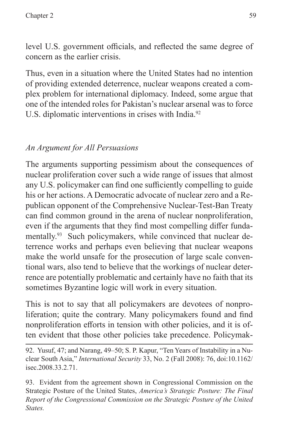level U.S. government officials, and reflected the same degree of concern as the earlier crisis.

Thus, even in a situation where the United States had no intention of providing extended deterrence, nuclear weapons created a complex problem for international diplomacy. Indeed, some argue that one of the intended roles for Pakistan's nuclear arsenal was to force U.S. diplomatic interventions in crises with India.<sup>92</sup>

# *An Argument for All Persuasions*

The arguments supporting pessimism about the consequences of nuclear proliferation cover such a wide range of issues that almost any U.S. policymaker can find one sufficiently compelling to guide his or her actions. A Democratic advocate of nuclear zero and a Republican opponent of the Comprehensive Nuclear-Test-Ban Treaty can find common ground in the arena of nuclear nonproliferation, even if the arguments that they find most compelling differ fundamentally.<sup>93</sup> Such policymakers, while convinced that nuclear deterrence works and perhaps even believing that nuclear weapons make the world unsafe for the prosecution of large scale conventional wars, also tend to believe that the workings of nuclear deterrence are potentially problematic and certainly have no faith that its sometimes Byzantine logic will work in every situation.

This is not to say that all policymakers are devotees of nonproliferation; quite the contrary. Many policymakers found and find nonproliferation efforts in tension with other policies, and it is often evident that those other policies take precedence. Policymak-

92. Yusuf, 47; and Narang, 49–50; S. P. Kapur, "Ten Years of Instability in a Nuclear South Asia," *International Security* 33, No. 2 (Fall 2008): 76, doi:10.1162/ isec.2008.33.2.71.

93. Evident from the agreement shown in Congressional Commission on the Strategic Posture of the United States, *America's Strategic Posture: The Final Report of the Congressional Commission on the Strategic Posture of the United States.*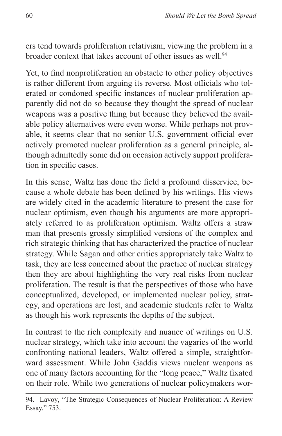ers tend towards proliferation relativism, viewing the problem in a broader context that takes account of other issues as well.<sup>94</sup>

Yet, to find nonproliferation an obstacle to other policy objectives is rather different from arguing its reverse. Most officials who tolerated or condoned specific instances of nuclear proliferation apparently did not do so because they thought the spread of nuclear weapons was a positive thing but because they believed the available policy alternatives were even worse. While perhaps not provable, it seems clear that no senior U.S. government official ever actively promoted nuclear proliferation as a general principle, although admittedly some did on occasion actively support proliferation in specific cases.

In this sense, Waltz has done the field a profound disservice, because a whole debate has been defined by his writings. His views are widely cited in the academic literature to present the case for nuclear optimism, even though his arguments are more appropriately referred to as proliferation optimism. Waltz offers a straw man that presents grossly simplified versions of the complex and rich strategic thinking that has characterized the practice of nuclear strategy. While Sagan and other critics appropriately take Waltz to task, they are less concerned about the practice of nuclear strategy then they are about highlighting the very real risks from nuclear proliferation. The result is that the perspectives of those who have conceptualized, developed, or implemented nuclear policy, strategy, and operations are lost, and academic students refer to Waltz as though his work represents the depths of the subject.

In contrast to the rich complexity and nuance of writings on U.S. nuclear strategy, which take into account the vagaries of the world confronting national leaders, Waltz offered a simple, straightforward assessment. While John Gaddis views nuclear weapons as one of many factors accounting for the "long peace," Waltz fixated on their role. While two generations of nuclear policymakers wor-

<sup>94.</sup> Lavoy, "The Strategic Consequences of Nuclear Proliferation: A Review Essay," 753.